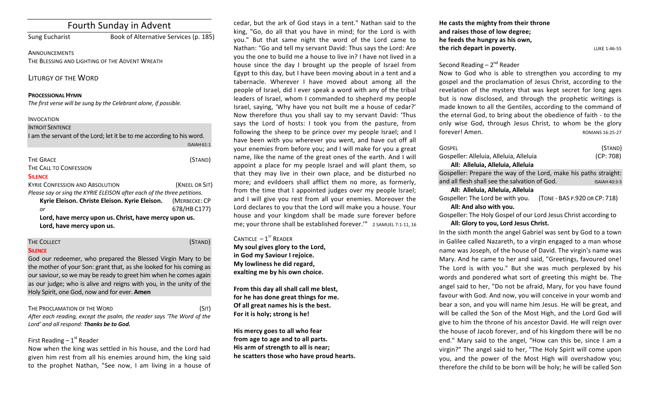# Fourth Sunday in Advent

Sung Eucharist Book of Alternative Services (p. 185)

**ANNOUNCEMENTS** THE BLESSING AND LIGHTING OF THE ADVENT WREATH

## LITURGY OF THE WORD

#### **PROCESSIONAL HYMN**

The first verse will be sung by the Celebrant alone, if possible.

#### INVOCATION

#### **INTROIT SENTENCE**

I am the servant of the Lord; let it be to me according to his word. ISAIAH61:1

| <b>THE GRACE</b>                                                        | (STAND)        |  |  |
|-------------------------------------------------------------------------|----------------|--|--|
| THE CALL TO CONFESSION                                                  |                |  |  |
| <b>SILENCE</b>                                                          |                |  |  |
| <b>KYRIE CONFESSION AND ABSOLUTION</b>                                  | (KNEEL OR SIT) |  |  |
| Please say or sing the KYRIE ELEISON after each of the three petitions. |                |  |  |
| Kyrie Eleison. Christe Eleison. Kyrie Eleison. (MERBECKE: CP            |                |  |  |
| or                                                                      | 678/HB C177)   |  |  |
| Lord, have mercy upon us. Christ, have mercy upon us.                   |                |  |  |
| Lord, have mercy upon us.                                               |                |  |  |

## THE COLLECT **THE COLLECT COLLECT COLLECT COLLECT COLLECT COLLECT COLLECT COLLECT COLLECT COLLECT**

#### **SILENCE**

God our redeemer, who prepared the Blessed Virgin Mary to be the mother of your Son: grant that, as she looked for his coming as our saviour, so we may be ready to greet him when he comes again as our judge; who is alive and reigns with you, in the unity of the Holy Spirit, one God, now and for ever. **Amen** 

#### THE PROCLAMATION OF THE WORD (SIT)

After each reading, except the psalm, the reader says 'The Word of the Lord' and all respond: Thanks be to God.

## First Reading  $-1<sup>st</sup>$  Reader

Now when the king was settled in his house, and the Lord had given him rest from all his enemies around him, the king said to the prophet Nathan, "See now, I am living in a house of

cedar, but the ark of God stays in a tent." Nathan said to the king, "Go, do all that you have in mind; for the Lord is with you." But that same night the word of the Lord came to Nathan: "Go and tell my servant David: Thus says the Lord: Are you the one to build me a house to live in? I have not lived in a house since the day I brought up the people of Israel from Egypt to this day, but I have been moving about in a tent and a tabernacle. Wherever I have moved about among all the people of Israel, did I ever speak a word with any of the tribal leaders of Israel, whom I commanded to shepherd my people Israel, saying, 'Why have you not built me a house of cedar?' Now therefore thus you shall say to my servant David: 'Thus says the Lord of hosts: I took you from the pasture, from following the sheep to be prince over my people Israel; and I have been with you wherever you went, and have cut off all your enemies from before you; and I will make for you a great name, like the name of the great ones of the earth. And I will appoint a place for my people Israel and will plant them, so that they may live in their own place, and be disturbed no more: and evildoers shall afflict them no more, as formerly, from the time that I appointed judges over my people Israel; and I will give you rest from all your enemies. Moreover the Lord declares to you that the Lord will make you a house. Your house and your kingdom shall be made sure forever before me; your throne shall be established forever." 2 SAMUEL 7:1-11, 16

CANTICLE  $-1^{57}$  READER My soul gives glory to the Lord, **in God my Saviour I rejoice. My lowliness he did regard,** exalting me by his own choice.

From this day all shall call me blest, for he has done great things for me. Of all great names his is the best. For it is holy; strong is he!

**His mercy goes to all who fear** from age to age and to all parts. **His arm of strength to all is near;** he scatters those who have proud hearts. **He casts the mighty from their throne** and raises those of low degree; he feeds the hungry as his own, **the rich depart in poverty.** LUKE 1:46-55

## Second Reading  $-2^{nd}$  Reader

Now to God who is able to strengthen you according to my gospel and the proclamation of Jesus Christ, according to the revelation of the mystery that was kept secret for long ages but is now disclosed, and through the prophetic writings is made known to all the Gentiles, according to the command of the eternal God, to bring about the obedience of faith - to the only wise God, through Jesus Christ, to whom be the glory forever! Amen. The community of the ROMANS 16:25-27

| GOSPEL                                                                       |                               | (STAND)              |
|------------------------------------------------------------------------------|-------------------------------|----------------------|
| Gospeller: Alleluia, Alleluia, Alleluia<br>All: Alleluia, Alleluia, Alleluia |                               | (CP: 708)            |
| Gospeller: Prepare the way of the Lord, make his paths straight:             |                               |                      |
| and all flesh shall see the salvation of God.                                |                               | <b>ISAIAH 40:3-5</b> |
| All: Alleluia, Alleluia, Alleluia                                            |                               |                      |
| Gospeller: The Lord be with you.                                             | (TONE - BAS P.920 OR CP: 718) |                      |
| All: And also with you.                                                      |                               |                      |
| Gospeller: The Holy Gospel of our Lord Jesus Christ according to             |                               |                      |

#### All: Glory to you, Lord Jesus Christ.

In the sixth month the angel Gabriel was sent by God to a town in Galilee called Nazareth, to a virgin engaged to a man whose name was Joseph, of the house of David. The virgin's name was Mary. And he came to her and said, "Greetings, favoured one! The Lord is with you." But she was much perplexed by his words and pondered what sort of greeting this might be. The angel said to her, "Do not be afraid, Mary, for you have found favour with God. And now, you will conceive in your womb and bear a son, and you will name him Jesus. He will be great, and will be called the Son of the Most High, and the Lord God will give to him the throne of his ancestor David. He will reign over the house of Jacob forever, and of his kingdom there will be no end." Mary said to the angel, "How can this be, since I am a virgin?" The angel said to her, "The Holy Spirit will come upon you, and the power of the Most High will overshadow you; therefore the child to be born will be holy; he will be called Son